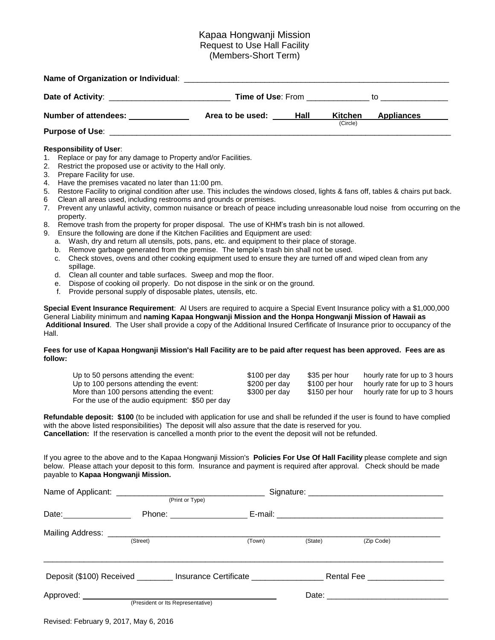# Kapaa Hongwanji Mission Request to Use Hall Facility (Members-Short Term)

| Name of Organization or Individual: |                          |      |          |                   |
|-------------------------------------|--------------------------|------|----------|-------------------|
|                                     | <b>Time of Use: From</b> |      | to       |                   |
| <b>Number of attendees:</b>         | Area to be used:         | Hall | Kitchen  | <b>Appliances</b> |
| <b>Purpose of Use:</b>              |                          |      | (Circle) |                   |

## **Responsibility of User**:

- 1. Replace or pay for any damage to Property and/or Facilities.
- 2. Restrict the proposed use or activity to the Hall only.
- 3. Prepare Facility for use.
- 4. Have the premises vacated no later than 11:00 pm.
- 5. Restore Facility to original condition after use. This includes the windows closed, lights & fans off, tables & chairs put back.
- 6 Clean all areas used, including restrooms and grounds or premises.
- 7. Prevent any unlawful activity, common nuisance or breach of peace including unreasonable loud noise from occurring on the property.
- 8. Remove trash from the property for proper disposal. The use of KHM's trash bin is not allowed.
- 9. Ensure the following are done if the Kitchen Facilities and Equipment are used:
	- a. Wash, dry and return all utensils, pots, pans, etc. and equipment to their place of storage.
	- b. Remove garbage generated from the premise. The temple's trash bin shall not be used.
	- c. Check stoves, ovens and other cooking equipment used to ensure they are turned off and wiped clean from any spillage.
	- d. Clean all counter and table surfaces. Sweep and mop the floor.
	- e. Dispose of cooking oil properly. Do not dispose in the sink or on the ground.
	- f. Provide personal supply of disposable plates, utensils, etc.

**Special Event Insurance Requirement**: Al Users are required to acquire a Special Event Insurance policy with a \$1,000,000 General Liability minimum and **naming Kapaa Hongwanji Mission and the Honpa Hongwanji Mission of Hawaii as Additional Insured**. The User shall provide a copy of the Additional Insured Cerfificate of Insurance prior to occupancy of the Hall.

## Fees for use of Kapaa Hongwanji Mission's Hall Facility are to be paid after request has been approved. Fees are as **follow:**

| Up to 50 persons attending the event:            | \$100 per day | \$35 per hour  | hourly rate for up to 3 hours |
|--------------------------------------------------|---------------|----------------|-------------------------------|
| Up to 100 persons attending the event:           | \$200 per day | \$100 per hour | hourly rate for up to 3 hours |
| More than 100 persons attending the event:       | \$300 per day | \$150 per hour | hourly rate for up to 3 hours |
| For the use of the audio equipment: \$50 per day |               |                |                               |

**Refundable deposit: \$100** (to be included with application for use and shall be refunded if the user is found to have complied with the above listed responsibilities) The deposit will also assure that the date is reserved for you. **Cancellation:** If the reservation is cancelled a month prior to the event the deposit will not be refunded.

If you agree to the above and to the Kapaa Hongwanji Mission's **Policies For Use Of Hall Facility** please complete and sign below. Please attach your deposit to this form. Insurance and payment is required after approval. Check should be made payable to **Kapaa Hongwanji Mission.**

|                              | (Print or Type)                   |                                                                         |         |                                |  |
|------------------------------|-----------------------------------|-------------------------------------------------------------------------|---------|--------------------------------|--|
| Date: _______________        | Phone: ______________             |                                                                         |         |                                |  |
|                              | (Street)                          | (Town)                                                                  | (State) | (Zip Code)                     |  |
|                              |                                   | Deposit (\$100) Received ________ Insurance Certificate _______________ |         | Rental Fee ___________________ |  |
| Approved: National Approved: | (President or Its Representative) |                                                                         |         |                                |  |